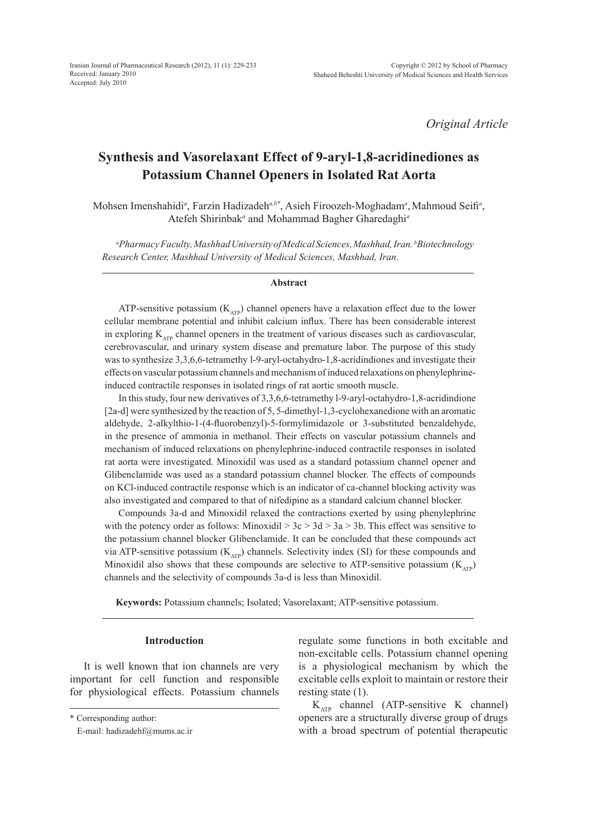*Original Article*

# **Synthesis and Vasorelaxant Effect of 9-aryl-1,8-acridinediones as Potassium Channel Openers in Isolated Rat Aorta**

Mohsen Imenshahidi<sup>a</sup>, Farzin Hadizadeh<sup>a,b\*</sup>, Asieh Firoozeh-Moghadam<sup>a</sup>, Mahmoud Seifi<sup>a</sup>, Atefeh Shirinbak*<sup>a</sup>* and Mohammad Bagher Gharedaghi*<sup>a</sup>*

*a Pharmacy Faculty, Mashhad University of Medical Sciences, Mashhad, Iran. b Biotechnology Research Center, Mashhad University of Medical Sciences, Mashhad, Iran*.

#### **Abstract**

ATP-sensitive potassium  $(K<sub>ATP</sub>)$  channel openers have a relaxation effect due to the lower cellular membrane potential and inhibit calcium influx. There has been considerable interest in exploring  $K_{ATP}$  channel openers in the treatment of various diseases such as cardiovascular, cerebrovascular, and urinary system disease and premature labor. The purpose of this study was to synthesize 3,3,6,6-tetramethy l-9-aryl-octahydro-1,8-acridindiones and investigate their effects on vascular potassium channels and mechanism of induced relaxations on phenylephrineinduced contractile responses in isolated rings of rat aortic smooth muscle.

In this study, four new derivatives of 3,3,6,6-tetramethy l-9-aryl-octahydro-1,8-acridindione [2a-d] were synthesized by the reaction of 5, 5-dimethyl-1,3-cyclohexanedione with an aromatic aldehyde, 2-alkylthio-1-(4-fluorobenzyl)-5-formylimidazole or 3-substituted benzaldehyde, in the presence of ammonia in methanol. Their effects on vascular potassium channels and mechanism of induced relaxations on phenylephrine-induced contractile responses in isolated rat aorta were investigated. Minoxidil was used as a standard potassium channel opener and Glibenclamide was used as a standard potassium channel blocker. The effects of compounds on KCl-induced contractile response which is an indicator of ca-channel blocking activity was also investigated and compared to that of nifedipine as a standard calcium channel blocker.

Compounds 3a-d and Minoxidil relaxed the contractions exerted by using phenylephrine with the potency order as follows: Minoxidil  $> 3c > 3d > 3a > 3b$ . This effect was sensitive to the potassium channel blocker Glibenclamide. It can be concluded that these compounds act via ATP-sensitive potassium  $(K_{ATP})$  channels. Selectivity index (SI) for these compounds and Minoxidil also shows that these compounds are selective to ATP-sensitive potassium ( $K_{\text{ATP}}$ ) channels and the selectivity of compounds 3a-d is less than Minoxidil.

**Keywords:** Potassium channels; Isolated; Vasorelaxant; ATP-sensitive potassium.

## **Introduction**

It is well known that ion channels are very important for cell function and responsible for physiological effects. Potassium channels

regulate some functions in both excitable and non-excitable cells. Potassium channel opening is a physiological mechanism by which the excitable cells exploit to maintain or restore their resting state (1).

 $K_{ATP}$  channel (ATP-sensitive K channel) openers are a structurally diverse group of drugs with a broad spectrum of potential therapeutic

<sup>\*</sup> Corresponding author:

E-mail: hadizadehf@mums.ac.ir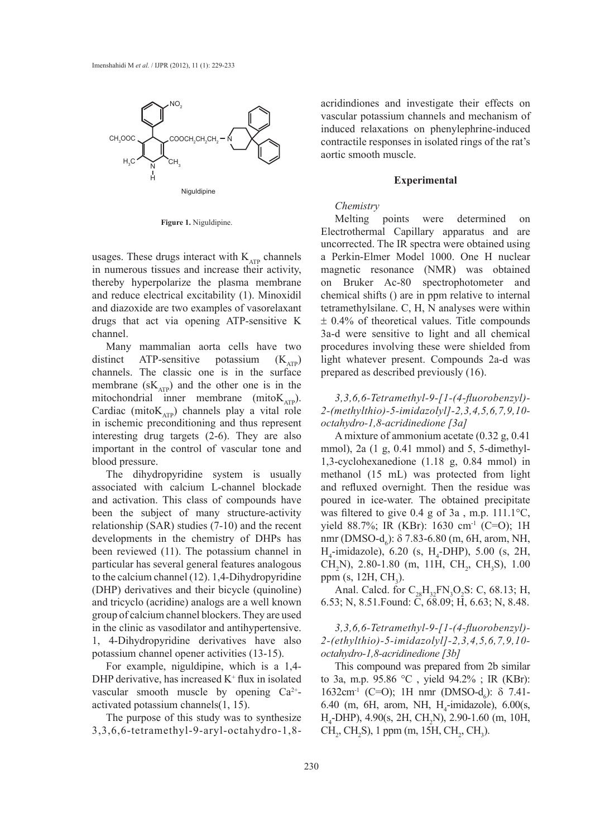

**Figure 1.** Niguldipine.

usages. These drugs interact with  $K_{ATP}$  channels in numerous tissues and increase their activity, thereby hyperpolarize the plasma membrane and reduce electrical excitability (1). Minoxidil and diazoxide are two examples of vasorelaxant drugs that act via opening ATP-sensitive K channel.

Many mammalian aorta cells have two distinct ATP-sensitive potassium  $(K_{ATP})$ channels. The classic one is in the surface membrane  $(sK<sub>ATP</sub>)$  and the other one is in the mitochondrial inner membrane (mito $K_{ATP}$ ). Cardiac (mito $K_{ATP}$ ) channels play a vital role in ischemic preconditioning and thus represent interesting drug targets (2-6). They are also important in the control of vascular tone and blood pressure.

The dihydropyridine system is usually associated with calcium L-channel blockade and activation. This class of compounds have been the subject of many structure-activity relationship (SAR) studies (7-10) and the recent developments in the chemistry of DHPs has been reviewed (11). The potassium channel in particular has several general features analogous to the calcium channel (12). 1,4-Dihydropyridine (DHP) derivatives and their bicycle (quinoline) and tricyclo (acridine) analogs are a well known group of calcium channel blockers. They are used in the clinic as vasodilator and antihypertensive. 1, 4-Dihydropyridine derivatives have also potassium channel opener activities (13-15).

For example, niguldipine, which is a 1,4- DHP derivative, has increased  $K^+$  flux in isolated vascular smooth muscle by opening  $Ca^{2+}$ activated potassium channels(1, 15).

The purpose of this study was to synthesize 3,3,6,6-tetramethyl-9-aryl-octahydro-1,8acridindiones and investigate their effects on vascular potassium channels and mechanism of induced relaxations on phenylephrine-induced contractile responses in isolated rings of the rat's aortic smooth muscle.

#### **Experimental**

## *Chemistry*

Melting points were determined on Electrothermal Capillary apparatus and are uncorrected. The IR spectra were obtained using a Perkin-Elmer Model 1000. One H nuclear magnetic resonance (NMR) was obtained on Bruker Ac-80 spectrophotometer and chemical shifts () are in ppm relative to internal tetramethylsilane. C, H, N analyses were within  $\pm$  0.4% of theoretical values. Title compounds 3a-d were sensitive to light and all chemical procedures involving these were shielded from light whatever present. Compounds 2a-d was prepared as described previously (16).

*3,3,6,6-Tetramethyl-9-[1-(4-fluorobenzyl)- 2-(methylthio)-5-imidazolyl]-2,3,4,5,6,7,9,10 octahydro-1,8-acridinedione [3a]*

A mixture of ammonium acetate (0.32 g, 0.41 mmol), 2a (1 g, 0.41 mmol) and 5, 5-dimethyl-1,3-cyclohexanedione (1.18 g, 0.84 mmol) in methanol (15 mL) was protected from light and refluxed overnight. Then the residue was poured in ice-water. The obtained precipitate was filtered to give 0.4 g of 3a , m.p. 111.1°C, yield 88.7%; IR (KBr): 1630 cm<sup>-1</sup> (C=O); 1H nmr (DMSO-d<sub>6</sub>): δ 7.83-6.80 (m, 6H, arom, NH,  $H_4$ -imidazole), 6.20 (s,  $H_4$ -DHP), 5.00 (s, 2H, CH<sub>2</sub>N), 2.80-1.80 (m, 11H, CH<sub>2</sub>, CH<sub>3</sub>S), 1.00 ppm (s, 12H,  $CH<sub>3</sub>$ ).

Anal. Calcd. for  $C_{28}H_{32}FN_3O_2S$ : C, 68.13; H, 6.53; N, 8.51.Found: C, 68.09; H, 6.63; N, 8.48.

*3,3,6,6-Tetramethyl-9-[1-(4-fluorobenzyl)- 2-(ethylthio)-5-imidazolyl]-2,3,4,5,6,7,9,10 octahydro-1,8-acridinedione [3b]*

This compound was prepared from 2b similar to 3a, m.p. 95.86 °C , yield 94.2% ; IR (KBr):  $1632$ cm<sup>-1</sup> (C=O); 1H nmr (DMSO-d<sub>6</sub>): δ 7.41-6.40 (m, 6H, arom, NH,  $H_4$ -imidazole), 6.00(s,  $H_4$ -DHP), 4.90(s, 2H, CH<sub>2</sub>N), 2.90-1.60 (m, 10H,  $CH_2$ , CH<sub>2</sub>S), 1 ppm (m, 15H, CH<sub>2</sub>, CH<sub>3</sub>).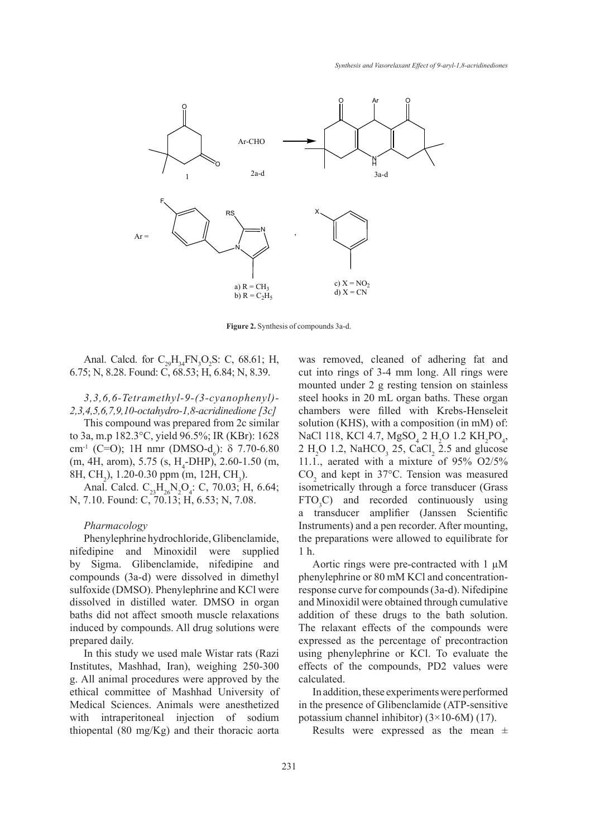

**Figure 2.** Synthesis of compounds 3a-d.

Anal. Calcd. for  $C_{29}H_{34}FN_{3}O_{2}S$ : C, 68.61; H, 6.75; N, 8.28. Found: C, 68.53; H, 6.84; N, 8.39.

# *3,3,6,6-Tetramethyl-9-(3-cyanophenyl)- 2,3,4,5,6,7,9,10-octahydro-1,8-acridinedione [3c]*

This compound was prepared from 2c similar to 3a, m.p 182.3°C, yield 96.5%; IR (KBr): 1628 cm<sup>-1</sup> (C=O); 1H nmr (DMSO-d<sub>6</sub>):  $\delta$  7.70-6.80  $(m, 4H, \text{arom}), 5.75 \text{ (s, H<sub>4</sub>-DHP)}, 2.60-1.50 \text{ (m,$ 8H, CH<sub>2</sub>), 1.20-0.30 ppm (m, 12H, CH<sub>3</sub>).

Anal. Calcd.  $C_{23}H_{26}N_2O_4$ : C, 70.03; H, 6.64; N, 7.10. Found: C, 70.13; H, 6.53; N, 7.08.

#### *Pharmacology*

Phenylephrine hydrochloride, Glibenclamide, nifedipine and Minoxidil were supplied by Sigma. Glibenclamide, nifedipine and compounds (3a-d) were dissolved in dimethyl sulfoxide (DMSO). Phenylephrine and KCl were dissolved in distilled water. DMSO in organ baths did not affect smooth muscle relaxations induced by compounds. All drug solutions were prepared daily.

In this study we used male Wistar rats (Razi Institutes, Mashhad, Iran), weighing 250-300 g. All animal procedures were approved by the ethical committee of Mashhad University of Medical Sciences. Animals were anesthetized with intraperitoneal injection of sodium thiopental (80 mg/Kg) and their thoracic aorta was removed, cleaned of adhering fat and cut into rings of 3-4 mm long. All rings were mounted under 2 g resting tension on stainless steel hooks in 20 mL organ baths. These organ chambers were filled with Krebs-Henseleit solution (KHS), with a composition (in mM) of: NaCl 118, KCl 4.7,  $MgSO_4$  2 H<sub>2</sub>O 1.2 KH<sub>2</sub>PO<sub>4</sub>,  $2 H<sub>2</sub>O$  1.2, NaHCO<sub>3</sub> 25, CaCl<sub>2</sub> 2.5 and glucose 11.1., aerated with a mixture of 95% O2/5%  $CO<sub>2</sub>$  and kept in 37°C. Tension was measured isometrically through a force transducer (Grass  $FTO<sub>3</sub>C$  and recorded continuously using a transducer amplifier (Janssen Scientific Instruments) and a pen recorder. After mounting, the preparations were allowed to equilibrate for 1 h.

Aortic rings were pre-contracted with 1 µM phenylephrine or 80 mM KCl and concentrationresponse curve for compounds (3a-d). Nifedipine and Minoxidil were obtained through cumulative addition of these drugs to the bath solution. The relaxant effects of the compounds were expressed as the percentage of precontraction using phenylephrine or KCl. To evaluate the effects of the compounds, PD2 values were calculated.

In addition, these experiments were performed in the presence of Glibenclamide (ATP-sensitive potassium channel inhibitor)  $(3 \times 10)$ -6M)  $(17)$ .

Results were expressed as the mean  $\pm$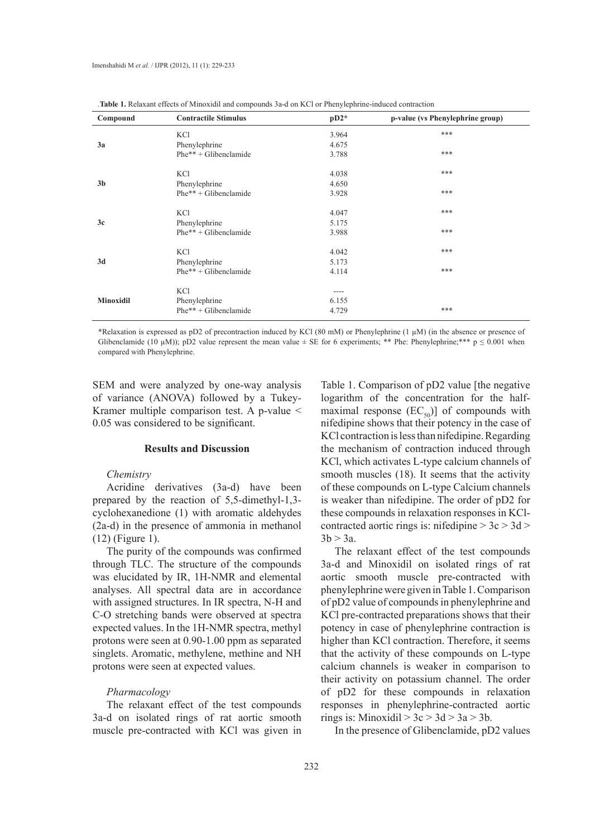| Compound         | <b>Contractile Stimulus</b> | $pD2*$    | p-value (vs Phenylephrine group) |
|------------------|-----------------------------|-----------|----------------------------------|
|                  | KCl                         | 3.964     | ***                              |
| 3a               | Phenylephrine               | 4.675     |                                  |
|                  | $Phe^{**} + Glibenclamide$  | 3.788     | ***                              |
|                  | KCl                         | 4.038     | ***                              |
| 3 <sub>b</sub>   | Phenylephrine               | 4.650     |                                  |
|                  | $Phe^{**} + Glibenclamide$  | 3.928     | ***                              |
|                  | <b>KCl</b>                  | 4.047     | ***                              |
| 3c               | Phenylephrine               | 5.175     |                                  |
|                  | $Phe^{**} + Glibenclamide$  | 3.988     | ***                              |
|                  | <b>KCl</b>                  | 4.042     | ***                              |
| 3d               | Phenylephrine               | 5.173     |                                  |
|                  | $Phe^{**} + Glibenclamide$  | 4.114     | ***                              |
| <b>Minoxidil</b> | <b>KCl</b>                  | $- - - -$ |                                  |
|                  | Phenylephrine               | 6.155     |                                  |
|                  | $Phe^{**} + Glibenclamide$  | 4.729     | ***                              |

|  | <b>Table 1.</b> Relaxant effects of Minoxidil and compounds 3a-d on KCl or Phenylephrine-induced contraction |
|--|--------------------------------------------------------------------------------------------------------------|
|  |                                                                                                              |

\*Relaxation is expressed as pD2 of precontraction induced by KCl (80 mM) or Phenylephrine (1 µM) (in the absence or presence of Glibenclamide (10 µM)); pD2 value represent the mean value  $\pm$  SE for 6 experiments; \*\* Phe: Phenylephrine;\*\*\* p  $\leq 0.001$  when compared with Phenylephrine.

SEM and were analyzed by one-way analysis of variance (ANOVA) followed by a Tukey-Kramer multiple comparison test. A p-value < 0.05 was considered to be significant.

#### **Results and Discussion**

# *Chemistry*

Acridine derivatives (3a-d) have been prepared by the reaction of 5,5-dimethyl-1,3 cyclohexanedione (1) with aromatic aldehydes (2a-d) in the presence of ammonia in methanol (12) (Figure 1).

The purity of the compounds was confirmed through TLC. The structure of the compounds was elucidated by IR, 1H-NMR and elemental analyses. All spectral data are in accordance with assigned structures. In IR spectra, N-H and C-O stretching bands were observed at spectra expected values. In the 1H-NMR spectra, methyl protons were seen at 0.90-1.00 ppm as separated singlets. Aromatic, methylene, methine and NH protons were seen at expected values.

# *Pharmacology*

The relaxant effect of the test compounds 3a-d on isolated rings of rat aortic smooth muscle pre-contracted with KCl was given in Table 1. Comparison of pD2 value [the negative logarithm of the concentration for the halfmaximal response  $(EC_{50})$ ] of compounds with nifedipine shows that their potency in the case of KCl contraction is less than nifedipine. Regarding the mechanism of contraction induced through KCl, which activates L-type calcium channels of smooth muscles (18). It seems that the activity of these compounds on L-type Calcium channels is weaker than nifedipine. The order of pD2 for these compounds in relaxation responses in KClcontracted aortic rings is: nifedipine > 3c > 3d >  $3b > 3a$ .

The relaxant effect of the test compounds 3a-d and Minoxidil on isolated rings of rat aortic smooth muscle pre-contracted with phenylephrine were given in Table 1. Comparison of pD2 value of compounds in phenylephrine and KCl pre-contracted preparations shows that their potency in case of phenylephrine contraction is higher than KCl contraction. Therefore, it seems that the activity of these compounds on L-type calcium channels is weaker in comparison to their activity on potassium channel. The order of pD2 for these compounds in relaxation responses in phenylephrine-contracted aortic rings is: Minoxidil  $> 3c > 3d > 3a > 3b$ .

In the presence of Glibenclamide, pD2 values